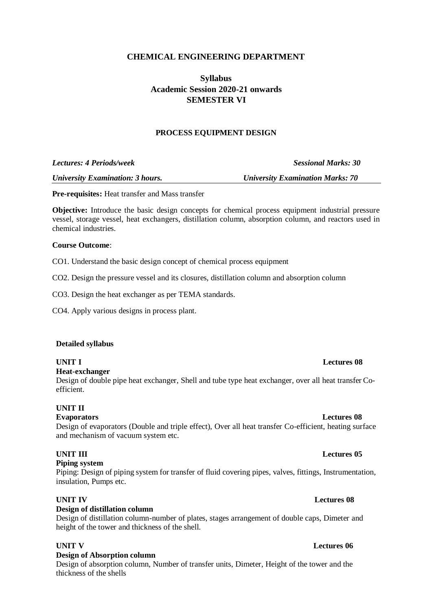## **CHEMICAL ENGINEERING DEPARTMENT**

## **Syllabus Academic Session 2020-21 onwards SEMESTER VI**

### **PROCESS EQUIPMENT DESIGN**

*Lectures: 4 Periods/week Sessional Marks: 30 University Examination: 3 hours. University Examination Marks: 70*

**Pre-requisites:** Heat transfer and Mass transfer

**Objective:** Introduce the basic design concepts for chemical process equipment industrial pressure vessel, storage vessel, heat exchangers, distillation column, absorption column, and reactors used in chemical industries.

### **Course Outcome**:

CO1. Understand the basic design concept of chemical process equipment

CO2. Design the pressure vessel and its closures, distillation column and absorption column

CO3. Design the heat exchanger as per TEMA standards.

CO4. Apply various designs in process plant.

### **Detailed syllabus**

## **UNIT I Lectures 08**

### **Heat-exchanger**

Design of double pipe heat exchanger, Shell and tube type heat exchanger, over all heat transfer Coefficient.

## **UNIT II**

Design of evaporators (Double and triple effect), Over all heat transfer Co-efficient, heating surface and mechanism of vacuum system etc.

### **Piping system**

Piping: Design of piping system for transfer of fluid covering pipes, valves, fittings, Instrumentation, insulation, Pumps etc.

### **UNIT IV Lectures 08**

### **Design of distillation column**

Design of distillation column-number of plates, stages arrangement of double caps, Dimeter and height of the tower and thickness of the shell.

### **Design of Absorption column**

Design of absorption column, Number of transfer units, Dimeter, Height of the tower and the thickness of the shells

### **Evaporators Lectures 08**

### **UNIT III Lectures 05**

### **UNIT V Lectures 06**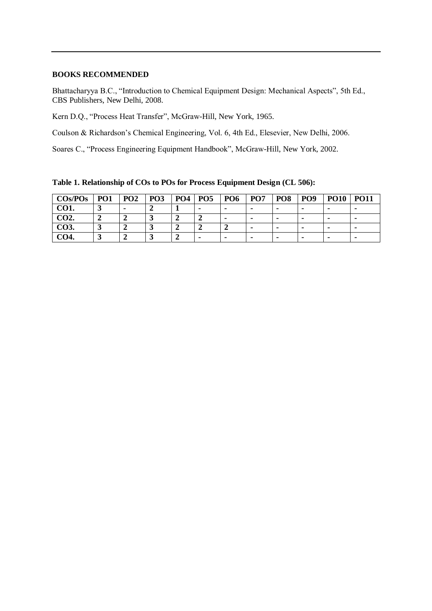## **BOOKS RECOMMENDED**

Bhattacharyya B.C., "Introduction to Chemical Equipment Design: Mechanical Aspects", 5th Ed., CBS Publishers, New Delhi, 2008.

Kern D.Q., "Process Heat Transfer", McGraw-Hill, New York, 1965.

Coulson & Richardson's Chemical Engineering, Vol. 6, 4th Ed., Elesevier, New Delhi, 2006.

Soares C., "Process Engineering Equipment Handbook", McGraw-Hill, New York, 2002.

**COs/POs PO1 PO2 PO3 PO4 PO5 PO6 PO7 PO8 PO9 PO10 PO11 CO1. 3 - 2 1 - - - - - - - CO2. 2 2 3 2 2 - - - - - - CO3. 3 2 3 2 2 2 - - - - - CO4. 3 2 3 2 - - - - - - -**

**Table 1. Relationship of COs to POs for Process Equipment Design (CL 506):**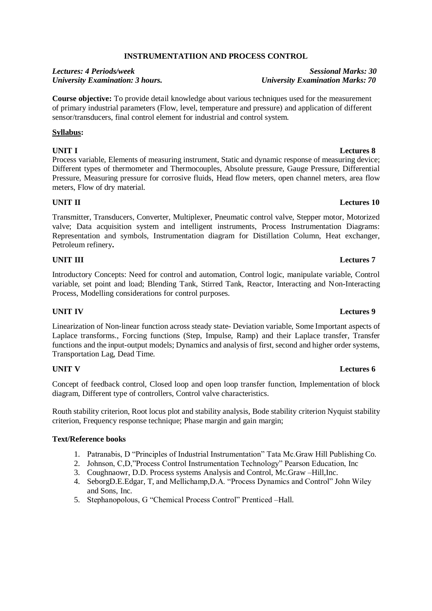## **INSTRUMENTATIION AND PROCESS CONTROL**

*Lectures: 4 Periods/week Sessional Marks: 30 University Examination: 3 hours. University Examination Marks: 70*

**Course objective:** To provide detail knowledge about various techniques used for the measurement of primary industrial parameters (Flow, level, temperature and pressure) and application of different sensor/transducers, final control element for industrial and control system.

## **Syllabus:**

**UNIT I Lectures 8** Process variable, Elements of measuring instrument, Static and dynamic response of measuring device; Different types of thermometer and Thermocouples, Absolute pressure, Gauge Pressure, Differential Pressure, Measuring pressure for corrosive fluids, Head flow meters, open channel meters, area flow meters, Flow of dry material.

## **UNIT II Lectures 10**

Transmitter, Transducers, Converter, Multiplexer, Pneumatic control valve, Stepper motor, Motorized valve; Data acquisition system and intelligent instruments, Process Instrumentation Diagrams: Representation and symbols, Instrumentation diagram for Distillation Column, Heat exchanger, Petroleum refinery**.**

## **UNIT III Lectures 7**

Introductory Concepts: Need for control and automation, Control logic, manipulate variable, Control variable, set point and load; Blending Tank, Stirred Tank, Reactor, Interacting and Non-Interacting Process, Modelling considerations for control purposes.

Linearization of Non-linear function across steady state- Deviation variable, Some Important aspects of Laplace transforms., Forcing functions (Step, Impulse, Ramp) and their Laplace transfer, Transfer functions and the input-output models; Dynamics and analysis of first, second and higher order systems, Transportation Lag, Dead Time.

Concept of feedback control, Closed loop and open loop transfer function, Implementation of block diagram, Different type of controllers, Control valve characteristics.

Routh stability criterion, Root locus plot and stability analysis, Bode stability criterion Nyquist stability criterion, Frequency response technique; Phase margin and gain margin;

## **Text/Reference books**

- 1. Patranabis, D "Principles of Industrial Instrumentation" Tata Mc.Graw Hill Publishing Co.
- 2. Johnson, C,D,"Process Control Instrumentation Technology" Pearson Education, Inc
- 3. Coughnaowr, D.D. Process systems Analysis and Control, Mc.Graw –Hill,Inc.
- 4. SeborgD.E.Edgar, T, and Mellichamp,D.A. "Process Dynamics and Control" John Wiley and Sons, Inc.
- 5. Stephanopolous, G "Chemical Process Control" Prenticed –Hall.

## **UNIT IV Lectures 9**

## **UNIT V Lectures 6**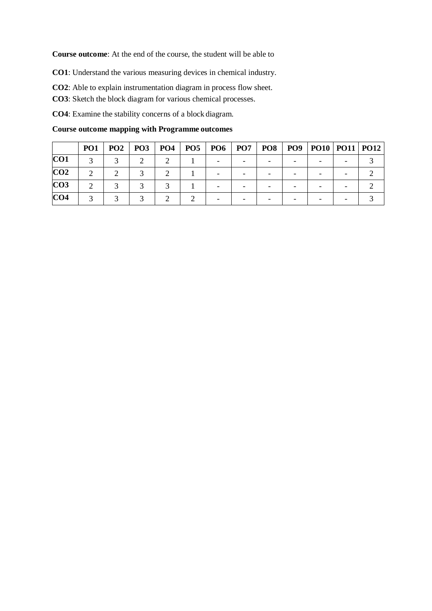**Course outcome**: At the end of the course, the student will be able to

**CO1**: Understand the various measuring devices in chemical industry.

**CO2**: Able to explain instrumentation diagram in process flow sheet.

**CO3**: Sketch the block diagram for various chemical processes.

**CO4**: Examine the stability concerns of a block diagram.

**Course outcome mapping with Programme outcomes**

|                 | PO <sub>1</sub> | PO2 | PO <sub>3</sub> | <b>PO4</b> | PO5 | <b>PO6</b> | <b>PO7</b> | PO <sub>8</sub> | <b>PO9</b> | $ $ PO10   PO11   PO12 |  |
|-----------------|-----------------|-----|-----------------|------------|-----|------------|------------|-----------------|------------|------------------------|--|
| CO <sub>1</sub> |                 |     |                 |            |     |            |            |                 |            |                        |  |
| CO <sub>2</sub> |                 |     |                 |            |     |            |            |                 |            |                        |  |
| CO <sub>3</sub> |                 |     |                 |            |     |            |            |                 |            |                        |  |
| CO <sub>4</sub> |                 |     |                 |            |     |            |            |                 |            |                        |  |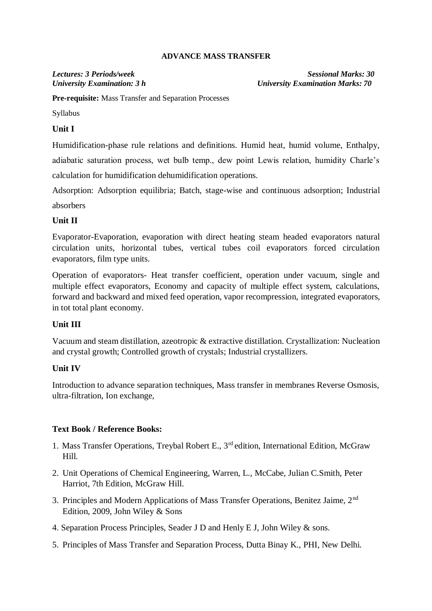## **ADVANCE MASS TRANSFER**

*Lectures: 3 Periods/week Sessional Marks: 30 University Examination: 3 h University Examination Marks: 70*

**Pre-requisite:** Mass Transfer and Separation Processes

Syllabus

## **Unit I**

Humidification-phase rule relations and definitions. Humid heat, humid volume, Enthalpy, adiabatic saturation process, wet bulb temp., dew point Lewis relation, humidity Charle's calculation for humidification dehumidification operations.

Adsorption: Adsorption equilibria; Batch, stage-wise and continuous adsorption; Industrial absorbers

## **Unit II**

Evaporator-Evaporation, evaporation with direct heating steam headed evaporators natural circulation units, horizontal tubes, vertical tubes coil evaporators forced circulation evaporators, film type units.

Operation of evaporators- Heat transfer coefficient, operation under vacuum, single and multiple effect evaporators, Economy and capacity of multiple effect system, calculations, forward and backward and mixed feed operation, vapor recompression, integrated evaporators, in tot total plant economy.

## **Unit III**

Vacuum and steam distillation, azeotropic & extractive distillation. Crystallization: Nucleation and crystal growth; Controlled growth of crystals; Industrial crystallizers.

## **Unit IV**

Introduction to advance separation techniques, Mass transfer in membranes Reverse Osmosis, ultra-filtration, Ion exchange,

## **Text Book / Reference Books:**

- 1. Mass Transfer Operations, Treybal Robert E., 3rd edition, International Edition, McGraw Hill.
- 2. Unit Operations of Chemical Engineering, Warren, L., McCabe, Julian C.Smith, Peter Harriot, 7th Edition, McGraw Hill.
- 3. Principles and Modern Applications of Mass Transfer Operations, Benitez Jaime, 2nd Edition, 2009, John Wiley & Sons
- 4. Separation Process Principles, Seader J D and Henly E J, John Wiley & sons.
- 5. Principles of Mass Transfer and Separation Process, Dutta Binay K., PHI, New Delhi.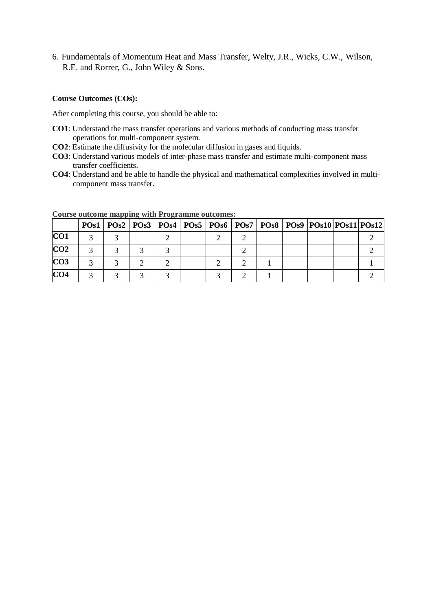6. Fundamentals of Momentum Heat and Mass Transfer, Welty, J.R., Wicks, C.W., Wilson, R.E. and Rorrer, G., John Wiley & Sons.

### **Course Outcomes (COs):**

After completing this course, you should be able to:

- **CO1**: Understand the mass transfer operations and various methods of conducting mass transfer operations for multi-component system.
- **CO2**: Estimate the diffusivity for the molecular diffusion in gases and liquids.
- **CO3**: Understand various models of inter-phase mass transfer and estimate multi-component mass transfer coefficients.
- **CO4**: Understand and be able to handle the physical and mathematical complexities involved in multicomponent mass transfer.

|                 |  |  |  |  | POs1   POs2   POs3   POs4   POs5   POs6   POs7   POs8   POs9   POs10   POs11   POs12 |  |
|-----------------|--|--|--|--|--------------------------------------------------------------------------------------|--|
| CO1             |  |  |  |  |                                                                                      |  |
| CO <sub>2</sub> |  |  |  |  |                                                                                      |  |
| CO <sub>3</sub> |  |  |  |  |                                                                                      |  |
| CO <sub>4</sub> |  |  |  |  |                                                                                      |  |

**Course outcome mapping with Programme outcomes:**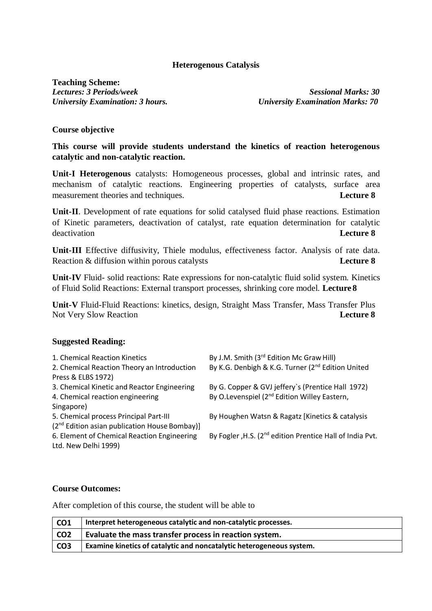## **Heterogenous Catalysis**

**Teaching Scheme:**

*Lectures: 3 Periods/week Sessional Marks: 30 University Examination: 3 hours. University Examination Marks: 70*

## **Course objective**

**This course will provide students understand the kinetics of reaction heterogenous catalytic and non-catalytic reaction.**

**Unit-I Heterogenous** catalysts: Homogeneous processes, global and intrinsic rates, and mechanism of catalytic reactions. Engineering properties of catalysts, surface area measurement theories and techniques. **Lecture 8**

**Unit-II**. Development of rate equations for solid catalysed fluid phase reactions. Estimation of Kinetic parameters, deactivation of catalyst, rate equation determination for catalytic deactivation **Lecture 8**

**Unit-III** Effective diffusivity, Thiele modulus, effectiveness factor. Analysis of rate data. Reaction & diffusion within porous catalysts **Lecture 8**

**Unit-IV** Fluid- solid reactions: Rate expressions for non-catalytic fluid solid system. Kinetics of Fluid Solid Reactions: External transport processes, shrinking core model. **Lecture 8**

**Unit-V** Fluid-Fluid Reactions: kinetics, design*,* Straight Mass Transfer, Mass Transfer Plus Not Very Slow Reaction **Lecture 8**

## **Suggested Reading:**

| 1. Chemical Reaction Kinetics                             | By J.M. Smith (3 <sup>rd</sup> Edition Mc Graw Hill)                 |
|-----------------------------------------------------------|----------------------------------------------------------------------|
| 2. Chemical Reaction Theory an Introduction               | By K.G. Denbigh & K.G. Turner (2 <sup>nd</sup> Edition United        |
| Press & ELBS 1972)                                        |                                                                      |
| 3. Chemical Kinetic and Reactor Engineering               | By G. Copper & GVJ jeffery's (Prentice Hall 1972)                    |
| 4. Chemical reaction engineering                          | By O.Levenspiel (2 <sup>nd</sup> Edition Willey Eastern,             |
| Singapore)                                                |                                                                      |
| 5. Chemical process Principal Part-III                    | By Houghen Watsn & Ragatz [Kinetics & catalysis                      |
| (2 <sup>nd</sup> Edition asian publication House Bombay)] |                                                                      |
| 6. Element of Chemical Reaction Engineering               | By Fogler, H.S. (2 <sup>nd</sup> edition Prentice Hall of India Pvt. |
| Ltd. New Delhi 1999)                                      |                                                                      |
|                                                           |                                                                      |

## **Course Outcomes:**

After completion of this course, the student will be able to

| CO <sub>1</sub> | Interpret heterogeneous catalytic and non-catalytic processes.       |
|-----------------|----------------------------------------------------------------------|
| CO <sub>2</sub> | Evaluate the mass transfer process in reaction system.               |
| CO <sub>3</sub> | Examine kinetics of catalytic and noncatalytic heterogeneous system. |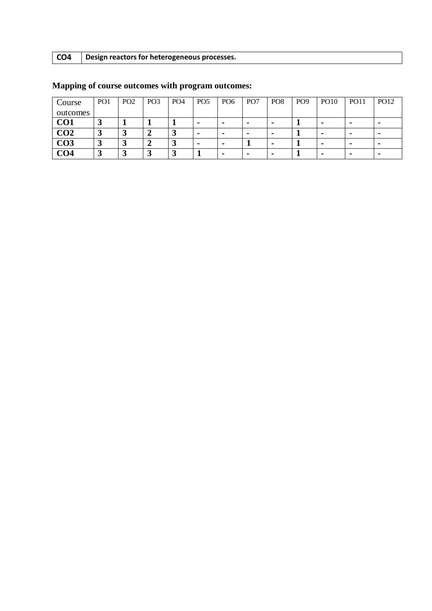## **CO4 Design reactors for heterogeneous processes.**

| Course          | PO <sub>1</sub> | PO <sub>2</sub>          | PO <sub>3</sub> | PO <sub>4</sub> | PO <sub>5</sub> | PO <sub>6</sub>          | PO <sub>7</sub>          | PO <sub>8</sub>          | PO <sub>9</sub> | <b>PO10</b> | <b>PO11</b>    | PO12           |
|-----------------|-----------------|--------------------------|-----------------|-----------------|-----------------|--------------------------|--------------------------|--------------------------|-----------------|-------------|----------------|----------------|
| outcomes        |                 |                          |                 |                 |                 |                          |                          |                          |                 |             |                |                |
| CO <sub>1</sub> |                 |                          |                 |                 | -               | $\blacksquare$           | $\overline{\phantom{a}}$ | $\overline{\phantom{a}}$ |                 |             | $\blacksquare$ | $\blacksquare$ |
| CO <sub>2</sub> |                 | نم                       |                 | ر .             |                 | $\overline{\phantom{0}}$ |                          | $\overline{\phantom{a}}$ |                 |             | $\blacksquare$ |                |
| CO <sub>3</sub> |                 | $\overline{\phantom{a}}$ |                 | ر .             |                 | $\blacksquare$           |                          | $\overline{\phantom{a}}$ |                 | . .         | $\blacksquare$ | $\blacksquare$ |
| CO4             |                 | نم                       | لہ              |                 |                 | $\blacksquare$           |                          | $\overline{\phantom{a}}$ |                 |             | $\blacksquare$ |                |

# **Mapping of course outcomes with program outcomes:**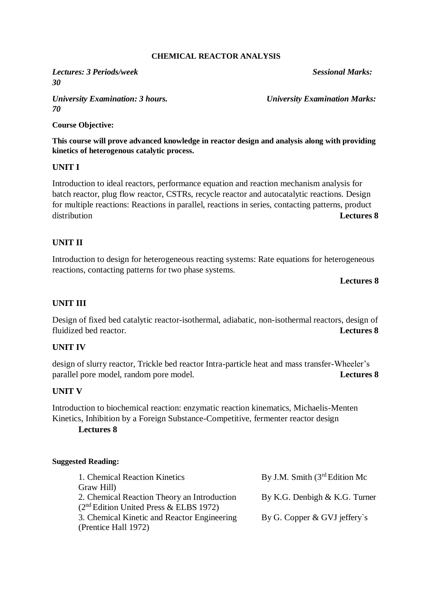## **CHEMICAL REACTOR ANALYSIS**

*Lectures: 3 Periods/week Sessional Marks: 30*

*University Examination: 3 hours. University Examination Marks: 70*

## **Course Objective:**

**This course will prove advanced knowledge in reactor design and analysis along with providing kinetics of heterogenous catalytic process.**

## **UNIT I**

Introduction to ideal reactors, performance equation and reaction mechanism analysis for batch reactor, plug flow reactor, CSTRs, recycle reactor and autocatalytic reactions. Design for multiple reactions: Reactions in parallel, reactions in series, contacting patterns, product distribution **Lectures 8**

## **UNIT II**

Introduction to design for heterogeneous reacting systems: Rate equations for heterogeneous reactions, contacting patterns for two phase systems.

**Lectures 8**

## **UNIT III**

Design of fixed bed catalytic reactor-isothermal, adiabatic, non-isothermal reactors, design of fluidized bed reactor. **Lectures 8**

## **UNIT IV**

design of slurry reactor, Trickle bed reactor Intra-particle heat and mass transfer-Wheeler's parallel pore model, random pore model. **Lectures 8**

## **UNIT V**

Introduction to biochemical reaction: enzymatic reaction kinematics, Michaelis-Menten Kinetics, Inhibition by a Foreign Substance-Competitive, fermenter reactor design **Lectures 8**

## **Suggested Reading:**

| 1. Chemical Reaction Kinetics               | By J.M. Smith $(3rd Edition Mc)$ |
|---------------------------------------------|----------------------------------|
| Graw Hill)                                  |                                  |
| 2. Chemical Reaction Theory an Introduction | By K.G. Denbigh & K.G. Turner    |
| $(2nd Edition United Press & ELBS 1972)$    |                                  |
| 3. Chemical Kinetic and Reactor Engineering | By G. Copper $\&$ GVJ jeffery's  |
| (Prentice Hall 1972)                        |                                  |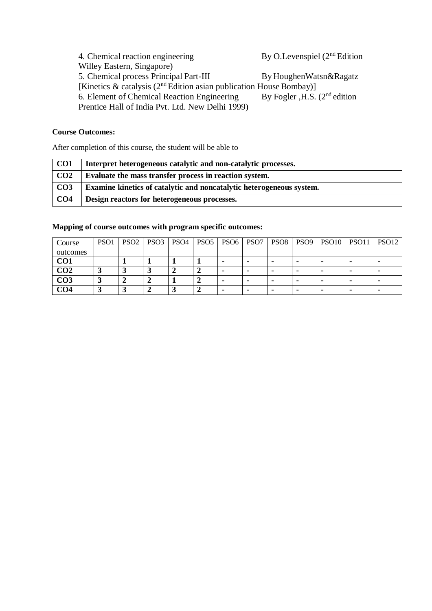4. Chemical reaction engineering By O.Levenspiel (2<sup>nd</sup> Edition Willey Eastern, Singapore) 5. Chemical process Principal Part-III By HoughenWatsn&Ragatz [Kinetics & catalysis ( $2<sup>nd</sup>$  Edition asian publication House Bombay)]<br>6. Element of Chemical Reaction Engineering By Fogler , H.S. ( $2<sup>nd</sup>$  edition 6. Element of Chemical Reaction Engineering Prentice Hall of India Pvt. Ltd. New Delhi 1999)

## **Course Outcomes:**

After completion of this course, the student will be able to

| CO <sub>1</sub> | Interpret heterogeneous catalytic and non-catalytic processes.       |
|-----------------|----------------------------------------------------------------------|
| CO <sub>2</sub> | Evaluate the mass transfer process in reaction system.               |
| CO3             | Examine kinetics of catalytic and noncatalytic heterogeneous system. |
| CO <sub>4</sub> | Design reactors for heterogeneous processes.                         |

## **Mapping of course outcomes with program specific outcomes:**

| Course          | PSO <sub>1</sub> | PSO <sub>2</sub> | PSO <sub>3</sub> | PSO4 | PSO <sub>5</sub> | PSO <sub>6</sub> | PSO <sub>7</sub>         | PSO <sub>8</sub> | PSO <sub>9</sub> | PSO <sub>10</sub> | PSO <sub>11</sub> | PSO <sub>12</sub> |
|-----------------|------------------|------------------|------------------|------|------------------|------------------|--------------------------|------------------|------------------|-------------------|-------------------|-------------------|
| outcomes        |                  |                  |                  |      |                  |                  |                          |                  |                  |                   |                   |                   |
| CO1             |                  |                  |                  |      |                  |                  |                          |                  |                  |                   |                   |                   |
| CO <sub>2</sub> | ົ                |                  |                  |      |                  |                  |                          |                  |                  |                   |                   |                   |
| CO <sub>3</sub> | ົ                |                  |                  |      |                  |                  | $\overline{\phantom{a}}$ |                  | ۰                |                   |                   |                   |
| CO <sub>4</sub> |                  |                  |                  |      |                  |                  |                          |                  |                  |                   |                   |                   |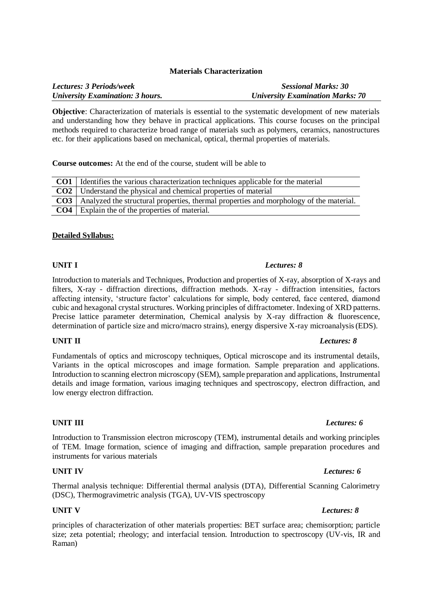## **Materials Characterization**

| <b>Lectures: 3 Periods/week</b>         | <b>Sessional Marks: 30</b>              |
|-----------------------------------------|-----------------------------------------|
| <b>University Examination: 3 hours.</b> | <b>University Examination Marks: 70</b> |

**Objective**: Characterization of materials is essential to the systematic development of new materials and understanding how they behave in practical applications. This course focuses on the principal methods required to characterize broad range of materials such as polymers, ceramics, nanostructures etc. for their applications based on mechanical, optical, thermal properties of materials.

**Course outcomes:** At the end of the course, student will be able to

| <b>CO1</b>   Identifies the various characterization techniques applicable for the material       |
|---------------------------------------------------------------------------------------------------|
| <b>CO2</b>   Understand the physical and chemical properties of material                          |
| <b>CO3</b> Analyzed the structural properties, thermal properties and morphology of the material. |
| <b>CO4</b> Explain the of the properties of material.                                             |

## **Detailed Syllabus:**

## **UNIT I** *Lectures: 8*

## Introduction to materials and Techniques, Production and properties of X-ray, absorption of X-rays and filters, X-ray - diffraction directions, diffraction methods. X-ray - diffraction intensities, factors affecting intensity, 'structure factor' calculations for simple, body centered, face centered, diamond cubic and hexagonal crystal structures. Working principles of diffractometer. Indexing of XRD patterns. Precise lattice parameter determination, Chemical analysis by X-ray diffraction & fluorescence, determination of particle size and micro/macro strains), energy dispersive X-ray microanalysis(EDS).

## **UNIT II** *Lectures: 8*

Fundamentals of optics and microscopy techniques, Optical microscope and its instrumental details, Variants in the optical microscopes and image formation. Sample preparation and applications. Introduction to scanning electron microscopy (SEM), sample preparation and applications, Instrumental details and image formation, various imaging techniques and spectroscopy, electron diffraction, and low energy electron diffraction.

## **UNIT III** *Lectures: 6*

Introduction to Transmission electron microscopy (TEM), instrumental details and working principles of TEM. Image formation, science of imaging and diffraction, sample preparation procedures and instruments for various materials

## **UNIT IV** *Lectures: 6*

Thermal analysis technique: Differential thermal analysis (DTA), Differential Scanning Calorimetry (DSC), Thermogravimetric analysis (TGA), UV-VIS spectroscopy

principles of characterization of other materials properties: BET surface area; chemisorption; particle size; zeta potential; rheology; and interfacial tension. Introduction to spectroscopy (UV-vis, IR and Raman)

## **UNIT V** *Lectures: 8*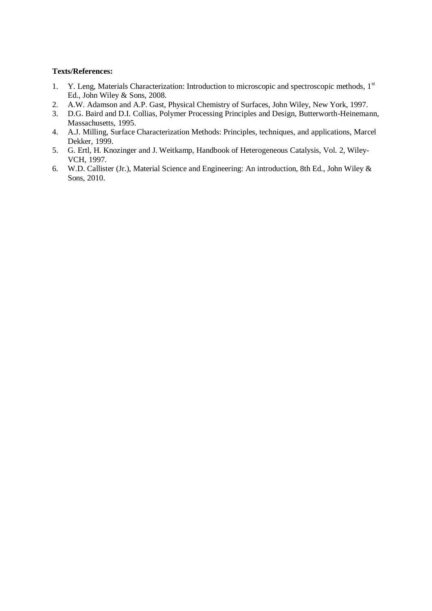## **Texts/References:**

- 1. Y. Leng, Materials Characterization: Introduction to microscopic and spectroscopic methods, 1<sup>st</sup> Ed., John Wiley & Sons, 2008.
- 2. A.W. Adamson and A.P. Gast, Physical Chemistry of Surfaces, John Wiley, New York, 1997.
- 3. D.G. Baird and D.I. Collias, Polymer Processing Principles and Design, Butterworth-Heinemann, Massachusetts, 1995.
- 4. A.J. Milling, Surface Characterization Methods: Principles, techniques, and applications, Marcel Dekker, 1999.
- 5. G. Ertl, H. Knozinger and J. Weitkamp, Handbook of Heterogeneous Catalysis, Vol. 2, Wiley-VCH, 1997.
- 6. W.D. Callister (Jr.), Material Science and Engineering: An introduction, 8th Ed., John Wiley & Sons, 2010.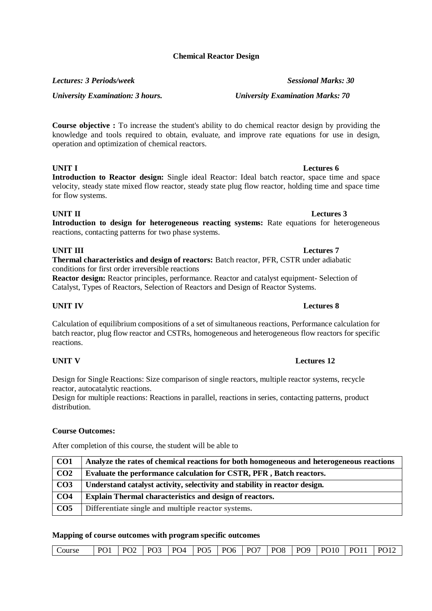## **Chemical Reactor Design**

*Lectures: 3 Periods/week Sessional Marks: 30*

**Course objective :** To increase the student's ability to do chemical reactor design by providing the knowledge and tools required to obtain, evaluate, and improve rate equations for use in design, operation and optimization of chemical reactors.

**Introduction to Reactor design:** Single ideal Reactor: Ideal batch reactor, space time and space velocity, steady state mixed flow reactor, steady state plug flow reactor, holding time and space time for flow systems.

**Introduction to design for heterogeneous reacting systems:** Rate equations for heterogeneous reactions, contacting patterns for two phase systems.

## **UNIT III Lectures 7**

**Thermal characteristics and design of reactors:** Batch reactor, PFR, CSTR under adiabatic conditions for first order irreversible reactions

**Reactor design:** Reactor principles, performance. Reactor and catalyst equipment- Selection of Catalyst, Types of Reactors, Selection of Reactors and Design of Reactor Systems.

## **UNIT IV Lectures 8**

Calculation of equilibrium compositions of a set of simultaneous reactions, Performance calculation for batch reactor, plug flow reactor and CSTRs, homogeneous and heterogeneous flow reactors for specific reactions.

Design for Single Reactions: Size comparison of single reactors, multiple reactor systems, recycle reactor, autocatalytic reactions.

Design for multiple reactions: Reactions in parallel, reactions in series, contacting patterns, product distribution.

### **Course Outcomes:**

After completion of this course, the student will be able to

| CO <sub>1</sub> | Analyze the rates of chemical reactions for both homogeneous and heterogeneous reactions |
|-----------------|------------------------------------------------------------------------------------------|
| $\overline{C}$  | Evaluate the performance calculation for CSTR, PFR, Batch reactors.                      |
| CO <sub>3</sub> | Understand catalyst activity, selectivity and stability in reactor design.               |
| CO <sub>4</sub> | <b>Explain Thermal characteristics and design of reactors.</b>                           |
| $\overline{C}$  | Differentiate single and multiple reactor systems.                                       |

### **Mapping of course outcomes with program specific outcomes**

| $\mid$ PO2 $\mid$ PO3 $\mid$ PO4 $\mid$ PO5 $\mid$ PO6 $\mid$ PO7 $\mid$ PO8 $\mid$ PO9 $\mid$ PO10 $\mid$ PO11 $\mid$<br>P <sub>012</sub><br>Course<br>P <sub>O1</sub> |
|-------------------------------------------------------------------------------------------------------------------------------------------------------------------------|
|-------------------------------------------------------------------------------------------------------------------------------------------------------------------------|

*University Examination: 3 hours. University Examination Marks: 70*

## **UNIT II Lectures 3**

## **UNIT V Lectures 12**

# **UNIT I Lectures 6**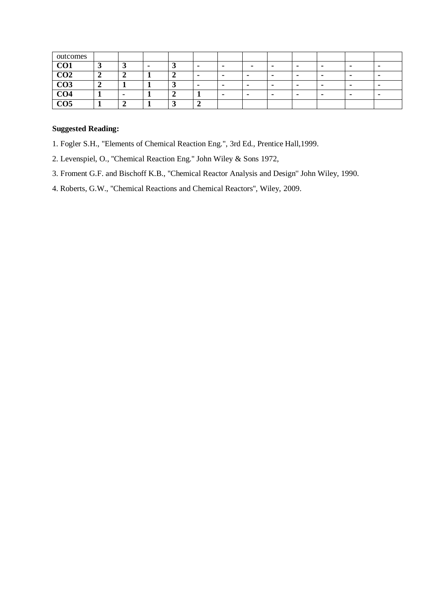| outcomes                  |  |                          |  |                          |   |   |                |                |  |
|---------------------------|--|--------------------------|--|--------------------------|---|---|----------------|----------------|--|
| CO <sub>1</sub>           |  | $\overline{\phantom{0}}$ |  | $\overline{\phantom{a}}$ | ۰ |   | $\blacksquare$ | $\blacksquare$ |  |
| $\overline{\mathrm{CO2}}$ |  |                          |  |                          |   | - |                |                |  |
| CO <sub>3</sub>           |  |                          |  |                          |   |   |                |                |  |
| C <sub>04</sub>           |  |                          |  | -                        |   | - |                |                |  |
| $\overline{\mathrm{CO5}}$ |  |                          |  |                          |   |   |                |                |  |

## **Suggested Reading:**

- 1. Fogler S.H., "Elements of Chemical Reaction Eng.", 3rd Ed., Prentice Hall,1999.
- 2. Levenspiel, O., ''Chemical Reaction Eng.'' John Wiley & Sons 1972,
- 3. Froment G.F. and Bischoff K.B., ''Chemical Reactor Analysis and Design'' John Wiley, 1990.
- 4. Roberts, G.W., ''Chemical Reactions and Chemical Reactors'', Wiley, 2009.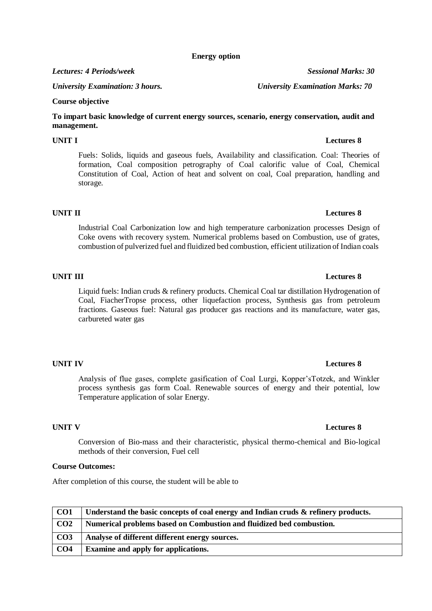## **Energy option**

## *Lectures: 4 Periods/week Sessional Marks: 30*

## **Course objective**

**To impart basic knowledge of current energy sources, scenario, energy conservation, audit and management.**

Fuels: Solids, liquids and gaseous fuels, Availability and classification. Coal: Theories of formation, Coal composition petrography of Coal calorific value of Coal, Chemical Constitution of Coal, Action of heat and solvent on coal, Coal preparation, handling and storage.

# Industrial Coal Carbonization low and high temperature carbonization processes Design of Coke ovens with recovery system. Numerical problems based on Combustion, use of grates, combustion of pulverized fuel and fluidized bed combustion, efficient utilization of Indian coals

**UNIT II Lectures 8**

### **UNIT III Lectures 8**

Liquid fuels: Indian cruds & refinery products. Chemical Coal tar distillation Hydrogenation of Coal, FiacherTropse process, other liquefaction process, Synthesis gas from petroleum fractions. Gaseous fuel: Natural gas producer gas reactions and its manufacture, water gas, carbureted water gas

### **UNIT IV Lectures 8**

Analysis of flue gases, complete gasification of Coal Lurgi, Kopper'sTotzek, and Winkler process synthesis gas form Coal. Renewable sources of energy and their potential, low Temperature application of solar Energy.

Conversion of Bio-mass and their characteristic, physical thermo-chemical and Bio-logical methods of their conversion, Fuel cell

### **Course Outcomes:**

After completion of this course, the student will be able to

| CO1             | Understand the basic concepts of coal energy and Indian cruds & refinery products. |
|-----------------|------------------------------------------------------------------------------------|
| CO <sub>2</sub> | Numerical problems based on Combustion and fluidized bed combustion.               |
| CO <sub>3</sub> | Analyse of different different energy sources.                                     |
| CO <sub>4</sub> | <b>Examine and apply for applications.</b>                                         |

## **UNIT I Lectures 8**

## **UNIT V Lectures 8**

*University Examination: 3 hours. University Examination Marks: 70*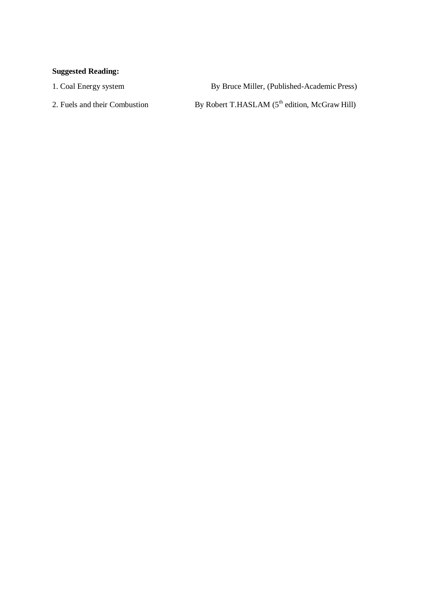## **Suggested Reading:**

1. Coal Energy system By Bruce Miller, (Published-Academic Press)

2. Fuels and their Combustion By Robert T.HASLAM ( $5<sup>th</sup>$  edition, McGraw Hill)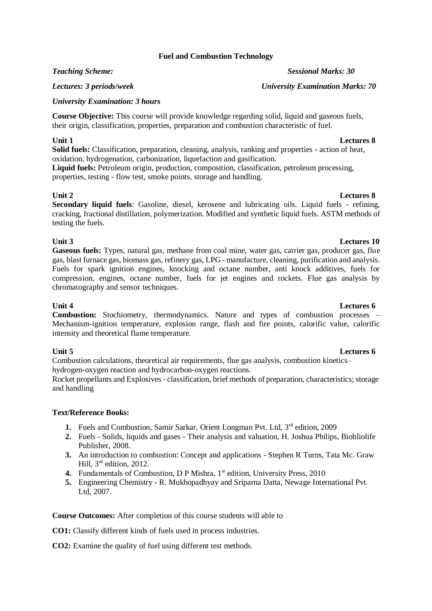## **Fuel and Combustion Technology**

## *University Examination: 3 hours*

**Course Objective:** This course will provide knowledge regarding solid, liquid and gaseous fuels, their origin, classification, properties, preparation and combustion characteristic of fuel.

## **Unit 1 Lectures 8**

**Solid fuels:** Classification, preparation, cleaning, analysis, ranking and properties - action of heat, oxidation, hydrogenation, carbonization, liquefaction and gasification.

**Liquid fuels:** Petroleum origin, production, composition, classification, petroleum processing, properties, testing - flow test, smoke points, storage and handling.

**Secondary liquid fuels**: Gasoline, diesel, kerosene and lubricating oils. Liquid fuels - refining, cracking, fractional distillation, polymerization. Modified and synthetic liquid fuels. ASTM methods of testing the fuels.

## **Unit 3 Lectures 10**

**Gaseous fuels:** Types, natural gas, methane from coal mine, water gas, carrier gas, producer gas, flue gas, blast furnace gas, biomass gas, refinery gas, LPG - manufacture, cleaning, purification and analysis. Fuels for spark ignition engines, knocking and octane number, anti knock additives, fuels for compression, engines, octane number, fuels for jet engines and rockets. Flue gas analysis by chromatography and sensor techniques.

## **Unit 4 Lectures 6**

Combustion calculations, theoretical air requirements, flue gas analysis, combustion kinetics– hydrogen-oxygen reaction and hydrocarbon-oxygen reactions.

Rocket propellants and Explosives - classification, brief methods of preparation, characteristics; storage and handling

## **Text/Reference Books:**

intensity and theoretical flame temperature.

- **1.** Fuels and Combustion, Samir Sarkar, Orient Longman Pvt. Ltd, 3<sup>rd</sup> edition, 2009
- **2.** Fuels Solids, liquids and gases Their analysis and valuation, H. Joshua Philips, Biobliolife Publisher, 2008.
- **3.** An introduction to combustion: Concept and applications Stephen R Turns, Tata Mc. Graw Hill, 3<sup>rd</sup> edition, 2012.
- **4.** Fundamentals of Combustion, D P Mishra, 1<sup>st</sup> edition, University Press, 2010
- **5.** Engineering Chemistry R. Mukhopadhyay and Sriparna Datta, Newage International Pvt. Ltd, 2007.

**Course Outcomes:** After completion of this course students will able to

**CO1:** Classify different kinds of fuels used in process industries.

**CO2:** Examine the quality of fuel using different test methods.

## *Teaching Scheme: Sessional Marks: 30*

*Lectures: 3 periods/week University Examination Marks: 70* 

## **Unit 2 Lectures 8**

## **Combustion:** Stochiometry, thermodynamics. Nature and types of combustion processes –

# Mechanism-ignition temperature, explosion range, flash and fire points, calorific value, calorific

# **Unit 5 Lectures 6**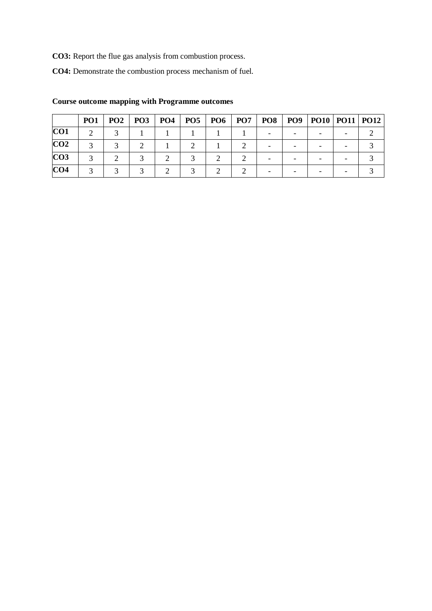**CO3:** Report the flue gas analysis from combustion process.

**CO4:** Demonstrate the combustion process mechanism of fuel.

|                 | PO <sub>1</sub> | PO <sub>2</sub> | PO3   PO4   PO5   PO6 |  | <b>PO7</b> | PO8 | <b>PO9</b> | PO10   PO11   PO12 |  |
|-----------------|-----------------|-----------------|-----------------------|--|------------|-----|------------|--------------------|--|
| CO1             |                 |                 |                       |  |            |     |            |                    |  |
| CO <sub>2</sub> |                 |                 |                       |  |            |     |            |                    |  |
| CO <sub>3</sub> |                 |                 |                       |  |            |     |            |                    |  |
| CO <sub>4</sub> |                 |                 |                       |  |            |     |            |                    |  |

## **Course outcome mapping with Programme outcomes**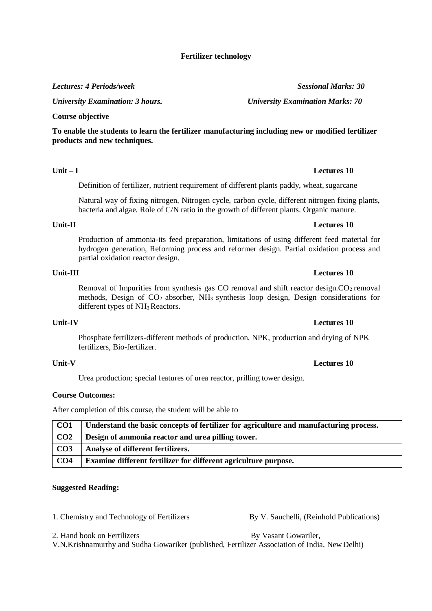## **Fertilizer technology**

## *Lectures: 4 Periods/week Sessional Marks: 30*

*University Examination: 3 hours. University Examination Marks: 70*

## **Course objective**

**To enable the students to learn the fertilizer manufacturing including new or modified fertilizer products and new techniques.**

Definition of fertilizer, nutrient requirement of different plants paddy, wheat, sugarcane

**Unit-II Lectures 10**

Natural way of fixing nitrogen, Nitrogen cycle, carbon cycle, different nitrogen fixing plants, bacteria and algae. Role of C/N ratio in the growth of different plants. Organic manure.

## Production of ammonia-its feed preparation, limitations of using different feed material for hydrogen generation, Reforming process and reformer design. Partial oxidation process and partial oxidation reactor design.

**Unit-III Lectures 10**

Removal of Impurities from synthesis gas CO removal and shift reactor design. $CO<sub>2</sub>$  removal methods, Design of CO2 absorber, NH3 synthesis loop design, Design considerations for different types of NH<sub>3</sub> Reactors.

Phosphate fertilizers-different methods of production, NPK, production and drying of NPK fertilizers, Bio-fertilizer.

### **Unit-V Lectures 10**

Urea production; special features of urea reactor, prilling tower design.

### **Course Outcomes:**

After completion of this course, the student will be able to

| $\overline{\phantom{0}}$ CO1 | Understand the basic concepts of fertilizer for agriculture and manufacturing process. |
|------------------------------|----------------------------------------------------------------------------------------|
| CO <sub>2</sub>              | Design of ammonia reactor and urea pilling tower.                                      |
| $\overline{C}$               | Analyse of different fertilizers.                                                      |
| CO <sub>4</sub>              | Examine different fertilizer for different agriculture purpose.                        |

### **Suggested Reading:**

1. Chemistry and Technology of Fertilizers By V. Sauchelli, (Reinhold Publications)

2. Hand book on Fertilizers **By Vasant Gowariler**,

V.N.Krishnamurthy and Sudha Gowariker (published, Fertilizer Association of India, New Delhi)

## **Unit-IV Lectures 10**

## **Unit – I Lectures 10**